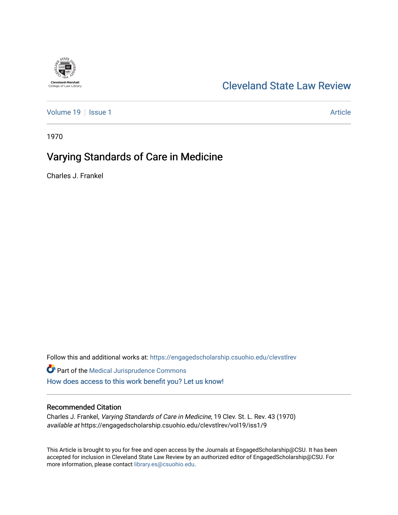

# [Cleveland State Law Review](https://engagedscholarship.csuohio.edu/clevstlrev)

[Volume 19](https://engagedscholarship.csuohio.edu/clevstlrev/vol19) | [Issue 1](https://engagedscholarship.csuohio.edu/clevstlrev/vol19/iss1) Article

1970

# Varying Standards of Care in Medicine

Charles J. Frankel

Follow this and additional works at: [https://engagedscholarship.csuohio.edu/clevstlrev](https://engagedscholarship.csuohio.edu/clevstlrev?utm_source=engagedscholarship.csuohio.edu%2Fclevstlrev%2Fvol19%2Fiss1%2F9&utm_medium=PDF&utm_campaign=PDFCoverPages)

Part of the [Medical Jurisprudence Commons](http://network.bepress.com/hgg/discipline/860?utm_source=engagedscholarship.csuohio.edu%2Fclevstlrev%2Fvol19%2Fiss1%2F9&utm_medium=PDF&utm_campaign=PDFCoverPages)  [How does access to this work benefit you? Let us know!](http://library.csuohio.edu/engaged/)

## Recommended Citation

Charles J. Frankel, Varying Standards of Care in Medicine, 19 Clev. St. L. Rev. 43 (1970) available at https://engagedscholarship.csuohio.edu/clevstlrev/vol19/iss1/9

This Article is brought to you for free and open access by the Journals at EngagedScholarship@CSU. It has been accepted for inclusion in Cleveland State Law Review by an authorized editor of EngagedScholarship@CSU. For more information, please contact [library.es@csuohio.edu](mailto:library.es@csuohio.edu).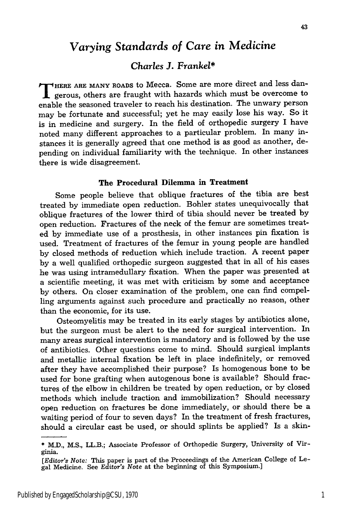## *Varying Standards of Care in Medicine*

## *Charles* **J.** *Frankel\**

**T HERE ARE MANY ROADS** to Mecca. Some are more direct and less dangerous, others are fraught with hazards which must be overcome to enable the seasoned traveler to reach his destination. The unwary person may be fortunate and successful; yet he may easily lose his way. So it is in medicine and surgery. In the field of orthopedic surgery I have noted many different approaches to a particular problem. In many instances it is generally agreed that one method is as good as another, depending on individual familiarity with the technique. In other instances there is wide disagreement.

## The Procedural Dilemma **in Treatment**

Some people believe that oblique fractures of the tibia are best treated by inunediate open reduction. Bohler states unequivocally that oblique fractures of the lower third of tibia should never be treated by open reduction. Fractures of the neck of the femur are sometimes treated by immediate use of a prosthesis, in other instances pin fixation is used. Treatment of fractures of the femur in young people are handled by closed methods of reduction which include traction. A recent paper by a well qualified orthopedic surgeon suggested that in all of his cases he was using intramedullary fixation. When the paper was presented at a scientific meeting, it was met with criticism by some and acceptance by others. On closer examination of the problem, one can find compelling arguments against such procedure and practically no reason, other than the economic, for its use.

Osteomyelitis may be treated in its early stages by antibiotics alone, but the surgeon must be alert to the need for surgical intervention. In many areas surgical intervention is mandatory and is followed by the use of antibiotics. Other questions come to mind. Should surgical implants and metallic internal fixation be left in place indefinitely, or removed after they have accomplished their purpose? Is homogenous bone to be used for bone grafting when autogenous bone is available? Should fractures of the elbow in children be treated by open reduction, or by closed methods which include traction and immobilization? Should necessary open reduction on fractures be done immediately, or should there be a waiting period of four to seven days? In the treatment of fresh fractures, should a circular cast be used, or should splints be applied? Is a skin-

**<sup>\*</sup>** M.D., M.S., LL.B.; Associate Professor of Orthopedic Surgery, University of Virginia.

*<sup>[</sup>Editor's Note:* This paper is part of the Proceedings of the American College of Legal Medicine. See *Editor's Note* at the beginning of this Symposium.]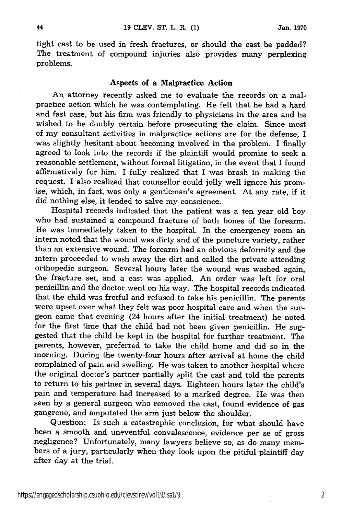44

tight cast to be used in fresh fractures, or should the cast be padded? The treatment of compound injuries also provides many perplexing problems.

### Aspects of a Malpractice Action

An attorney recently asked me to evaluate the records on a malpractice action which he was contemplating. He felt that he had a hard and fast case, but his firm was friendly to physicians in the area and he wished to be doubly certain before prosecuting the claim. Since most of my consultant activities in malpractice actions are for the defense, I was slightly hesitant about becoming involved in the problem. I finally agreed to look into the records if the plaintiff would promise to seek a reasonable settlement, without formal litigation, in the event that I found affirmatively for him. I fully realized that I was brash in making the request. I also realized that counsellor could jolly well ignore his promise, which, in fact, was only a gentleman's agreement. At any rate, if it did nothing else, it tended to salve my conscience.

Hospital records indicated that the patient was a ten year old boy who had sustained a compound fracture of both bones of the forearm. He was immediately taken to the hospital. In the emergency room an intern noted that the wound was dirty and of the puncture variety, rather than an extensive wound. The forearm had an obvious deformity and the intern proceeded to wash away the dirt and called the private attending orthopedic surgeon. Several hours later the wound was washed again, the fracture set, and a cast was applied. An order was left for oral penicillin and the doctor went on his way. The hospital records indicated that the child was fretful and refused to take his penicillin. The parents were upset over what they felt was poor hospital care and when the surgeon came that evening (24 hours after the initial treatment) he noted for the first time that the child had not been given penicillin. He suggested that the child be kept in the hospital for further treatment. The parents, however, preferred to take the child home and did so in the morning. During the twenty-four hours after arrival at home the child complained of pain and swelling. He was taken to another hospital where the original doctor's partner partially split the cast and told the parents to return to his partner in several days. Eighteen hours later the child's pain and temperature had increased to a marked degree. He was then seen by a general surgeon who removed the cast, found evidence of gas gangrene, and amputated the arm just below the shoulder.

Question: Is such a catastrophic conclusion, for what should have been a smooth and uneventful convalescence, evidence per se of gross negligence? Unfortunately, many lawyers believe so, as do many members of a jury, particularly when they look upon the pitiful plaintiff day after day at the trial.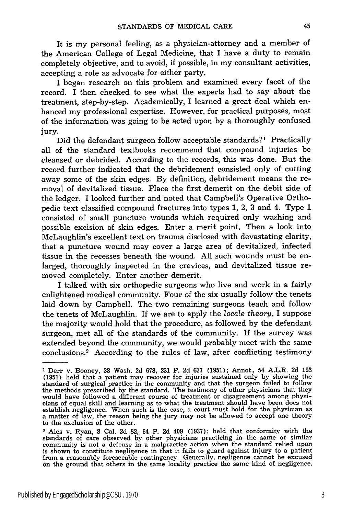It is my personal feeling, as a physician-attorney and a member of the American College of Legal Medicine, that I have a duty to remain completely objective, and to avoid, if possible, in my consultant activities, accepting a role as advocate for either party.

I began research on this problem and examined every facet of the record. I then checked to see what the experts had to say about the treatment, step-by-step. Academically, I learned a great deal which enhanced my professional expertise. However, for practical purposes, most of the information was going to be acted upon by a thoroughly confused jury.

Did the defendant surgeon follow acceptable standards?' Practically all of the standard textbooks recommend that compound injuries be cleansed or debrided. According to the records, this was done. But the record further indicated that the debridement consisted only of cutting away some of the skin edges. By definition, debridement means the removal of devitalized tissue. Place the first demerit on the debit side of the ledger. I looked further and noted that Campbell's Operative Orthopedic text classified compound fractures into types 1, 2, 3 and 4. Type 1 consisted of small puncture wounds which required only washing and possible excision of skin edges. Enter a merit point. Then a look into McLaughlin's excellent text on trauma disclosed with devastating clarity, that a puncture wound may cover a large area of devitalized, infected tissue in the recesses beneath the wound. All such wounds must be enlarged, thoroughly inspected in the crevices, and devitalized tissue removed completely. Enter another demerit.

I talked with six orthopedic surgeons who live and work in a fairly enlightened medical community. Four of the six usually follow the tenets laid down by Campbell. The two remaining surgeons teach and follow the tenets of McLaughlin. If we are to apply the *locale theory,* I suppose the majority would hold that the procedure, as followed by the defendant surgeon, met all of the standards of the community. If the survey was extended beyond the community, we would probably meet with the same conclusions.2 According to the rules of law, after conflicting testimony

**<sup>1</sup>** Derr v. Booney, 38 Wash. 2d 678, 231 P. 2d 637 (1951); Annot., 54 A.L.R. 2d 193 (1951) held that a patient may recover for injuries sustained only by showing the standard of surgical practice in the community and that the surgeon failed to follow the methods prescribed by the standard. The testimony of other physicians that they would have followed a different course of treatment or disagreement among physi- cians of equal skill and learning as to what the treatment should have been does not establish negligence. When such is the case, a court must hold for the physician as a matter of law, the reason being the jury may not be allowed to accept one theory to the exclusion of the other.

<sup>2</sup> Ales v. Ryan, 8 Cal. 2d 82, 64 P. 2d 409 (1937); held that conformity with the standards of care observed by other physicians practicing in the same or similar community is not a defense in a malpractice action when the standard relied upon is shown to constitute negligence in that it fails to guard against injury to a patient from a reasonably foreseeable contingency. Generally, negligence cannot be excused on the ground that others in the same locality practice the same kind of negligence.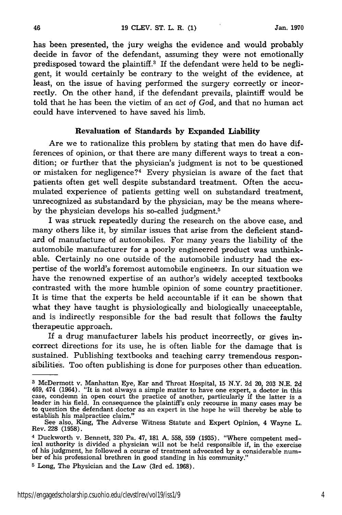has been presented, the jury weighs the evidence and would probably decide in favor of the defendant, assuming they were not emotionally predisposed toward the plaintiff.<sup>3</sup> If the defendant were held to be negligent, it would certainly be contrary to the weight of the evidence, at least, on the issue of having performed the surgery correctly or incorrectly. On the other hand, if the defendant prevails, plaintiff would be told that he has been the victim of an act *of God,* and that no human act could have intervened to have saved his limb.

### Revaluation **of Standards by Expanded Liability**

Are we to rationalize this problem **by** stating that men do have differences of opinion, or that there are many different ways to treat a condition; or further that the physician's judgment is not to be questioned or mistaken for negligence?<sup>4</sup> Every physician is aware of the fact that patients often get well despite substandard treatment. Often the accumulated experience of patients getting well on substandard treatment, unrecognized as substandard **by** the physician, may be the means whereby the physician develops his so-called judgment.5

I was struck repeatedly during the research on the above case, and many others like it, by similar issues that arise from the deficient standard of manufacture of automobiles. For many years the liability of the automobile manufacturer for a poorly engineered product was unthinkable. Certainly no one outside of the automobile industry had the expertise of the world's foremost automobile engineers. In our situation we have the renowned expertise of an author's widely accepted textbooks contrasted with the more humble opinion of some country practitioner. It is time that the experts be held accountable if it can be shown that what they have taught is physiologically and biologically unacceptable, and is indirectly responsible for the bad result that follows the faulty therapeutic approach.

If a drug manufacturer labels his product incorrectly, or gives incorrect directions for its use, he is often liable for the damage that is sustained. Publishing textbooks and teaching carry tremendous responsibilities. Too often publishing is done for purposes other than education.

**<sup>3</sup>**McDermott v. Manhattan Eye, Ear and Throat Hospital, **15** N.Y. 2d 20, 203 N.E. 2d 469, 474 (1964). "It is not always a simple matter to have one expert, a doctor in this case, condemn in open court the practice of another, particularly if the latter is a leader in his field. In consequence the plaintiff's only recourse in many cases may be to question the defendant doctor as an expert in the hope he will thereby be able to establish his malpractice claim."

See also, King, The Adverse Witness Statute and Expert Opinion, 4 Wayne L. Rev. 228 (1958).

**<sup>4</sup>** Duckworth v. Bennett, 320 Pa. 47, 181 **A. 558, 559** (1935). "Where competent medical authority is divided a physician will not be held responsible if, in the exercise of his judgment, he followed a course of treatment advocated by a considerable num- ber of his professional brethren in good standing in his community."

**<sup>5</sup>** Long, The Physician and the Law (3rd ed. 1968).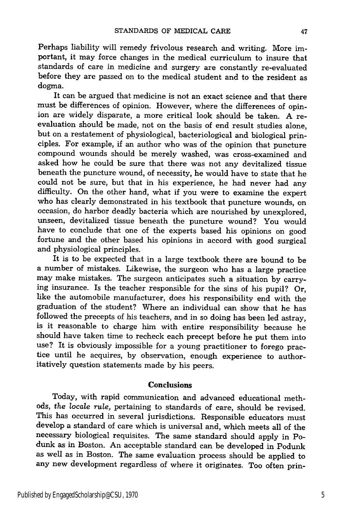Perhaps liability will remedy frivolous research and writing. More important, it may force changes in the medical curriculum to insure that standards of care in medicine and surgery are constantly re-evaluated before they are passed on to the medical student and to the resident as dogma.

It can be argued that medicine is not an exact science and that there must be differences of opinion. However, where the differences of opinion are widely disparate, a more critical look should be taken. A reevaluation should be made, not on the basis of end result studies alone, but on a restatement of physiological, bacteriological and biological principles. For example, if an author who was of the opinion that puncture compound wounds should be merely washed, was cross-examined and asked how he could be sure that there was not any devitalized tissue beneath the puncture wound, of necessity, he would have to state that he could not be sure, but that in his experience, he had never had any difficulty. On the other hand, what if you were to examine the expert who has clearly demonstrated in his textbook that puncture wounds, on occasion, do harbor deadly bacteria which are nourished by unexplored, unseen, devitalized tissue beneath the puncture wound? You would have to conclude that one of the experts based his opinions on good fortune and the other based his opinions in accord with good surgical and physiological principles.

It is to be expected that in a large textbook there are bound to be a number of mistakes. Likewise, the surgeon who has a large practice may make mistakes. The surgeon anticipates such a situation by carrying insurance. Is the teacher responsible for the sins of his pupil? Or, like the automobile manufacturer, does his responsibility end with the graduation of the student? Where an individual can show that he has followed the precepts of his teachers, and in so doing has been led astray, is it reasonable to charge him with entire responsibility because he should have taken time to recheck each precept before he put them into use? It is obviously impossible for a young practitioner to forego practice until he acquires, by observation, enough experience to authoritatively question statements made by his peers.

#### **Conclusions**

Today, with rapid communication and advanced educational methods, the *locale rule,* pertaining to standards of care, should be revised. This has occurred in several jurisdictions. Responsible educators must develop a standard of care which is universal and, which meets all of the necessary biological requisites. The same standard should apply in Podunk as in Boston. An acceptable standard can be developed in Podunk as well as in Boston. The same evaluation process should be applied to any new development regardless of where it originates. Too often prin-